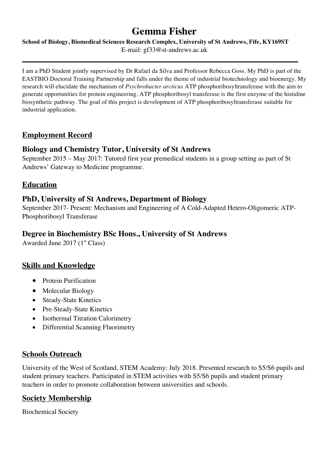# **Gemma Fisher**

**School of Biology, Biomedical Sciences Research Complex, University of St Andrews, Fife, KY169ST** E-mail: gf33@st-andrews.ac.uk

I am a PhD Student jointly supervised by Dr Rafael da Silva and Professor Rebecca Goss. My PhD is part of the EASTBIO Doctoral Training Partnership and falls under the theme of industrial biotechnology and bioenergy. My research will elucidate the mechanism of *Psychrobacter arcticus* ATP phosphoribosyltransferase with the aim to generate opportunities for protein engineering. ATP phosphoribosyl transferase is the first enzyme of the histidine biosynthetic pathway. The goal of this project is development of ATP phosphoribosyltransferase suitable for industrial application.

# **Employment Record**

# **Biology and Chemistry Tutor, University of St Andrews**

September 2015 – May 2017: Tutored first year premedical students in a group setting as part of St Andrews' Gateway to Medicine programme.

# **Education**

#### **PhD, University of St Andrews, Department of Biology**

September 2017- Present: Mechanism and Engineering of A Cold-Adapted Hetero-Oligomeric ATP-Phosphoribosyl Transferase

#### **Degree in Biochemistry BSc Hons., University of St Andrews**

Awarded June  $2017$  ( $1<sup>st</sup> Class$ )

# **Skills and Knowledge**

- Protein Purification
- Molecular Biology
- Steady-State Kinetics
- Pre-Steady-State Kinetics
- Isothermal Titration Calorimetry
- Differential Scanning Fluorimetry

# **Schools Outreach**

University of the West of Scotland, STEM Academy: July 2018. Presented research to S5/S6 pupils and student primary teachers. Participated in STEM activities with S5/S6 pupils and student primary teachers in order to promote collaboration between universities and schools.

# **Society Membership**

Biochemical Society